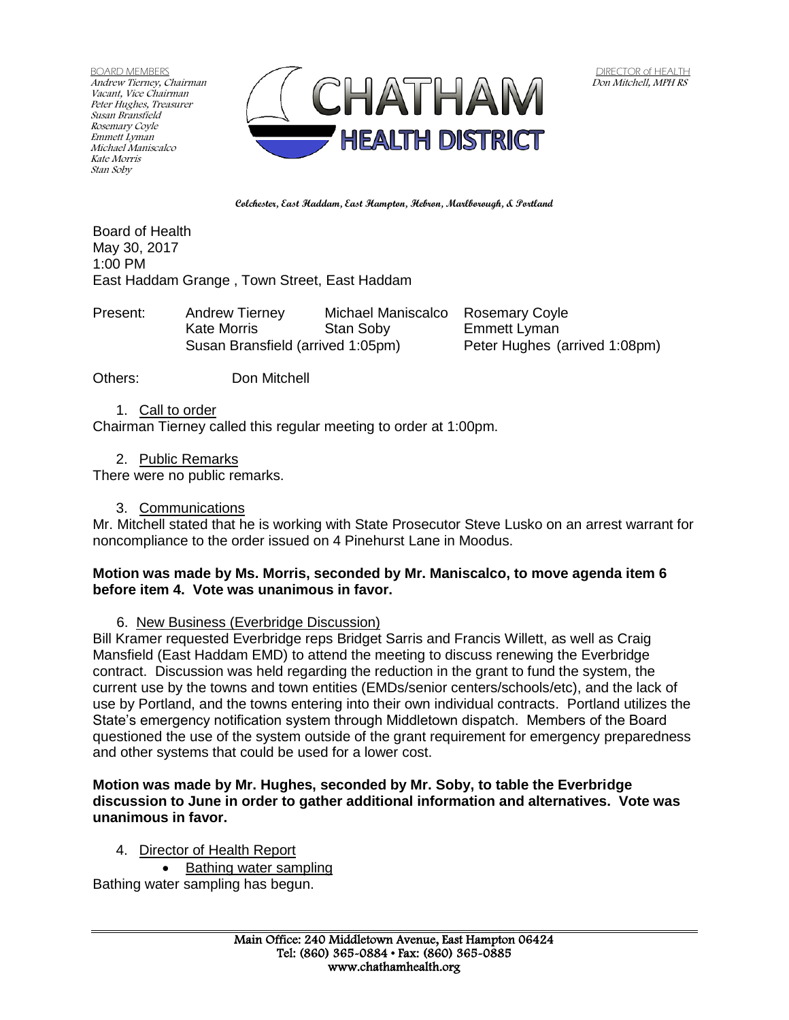BOARD MEMBERS Andrew Tierney, Chairman Vacant, Vice Chairman Peter Hughes, Treasurer Susan Bransfield Rosemary Coyle Emmett Lyman Michael Maniscalco Kate Morris Stan Soby



**Colchester, East Haddam, East Hampton, Hebron, Marlborough, & Portland**

Board of Health May 30, 2017 1:00 PM East Haddam Grange , Town Street, East Haddam

Present: Andrew Tierney Michael Maniscalco Rosemary Coyle Kate Morris **Stan Soby** Emmett Lyman Susan Bransfield (arrived 1:05pm) Peter Hughes (arrived 1:08pm)

Others: Don Mitchell

1. Call to order

Chairman Tierney called this regular meeting to order at 1:00pm.

2. Public Remarks

There were no public remarks.

3. Communications

Mr. Mitchell stated that he is working with State Prosecutor Steve Lusko on an arrest warrant for noncompliance to the order issued on 4 Pinehurst Lane in Moodus.

### **Motion was made by Ms. Morris, seconded by Mr. Maniscalco, to move agenda item 6 before item 4. Vote was unanimous in favor.**

6. New Business (Everbridge Discussion)

Bill Kramer requested Everbridge reps Bridget Sarris and Francis Willett, as well as Craig Mansfield (East Haddam EMD) to attend the meeting to discuss renewing the Everbridge contract. Discussion was held regarding the reduction in the grant to fund the system, the current use by the towns and town entities (EMDs/senior centers/schools/etc), and the lack of use by Portland, and the towns entering into their own individual contracts. Portland utilizes the State's emergency notification system through Middletown dispatch. Members of the Board questioned the use of the system outside of the grant requirement for emergency preparedness and other systems that could be used for a lower cost.

## **Motion was made by Mr. Hughes, seconded by Mr. Soby, to table the Everbridge discussion to June in order to gather additional information and alternatives. Vote was unanimous in favor.**

4. Director of Health Report

Bathing water sampling

Bathing water sampling has begun.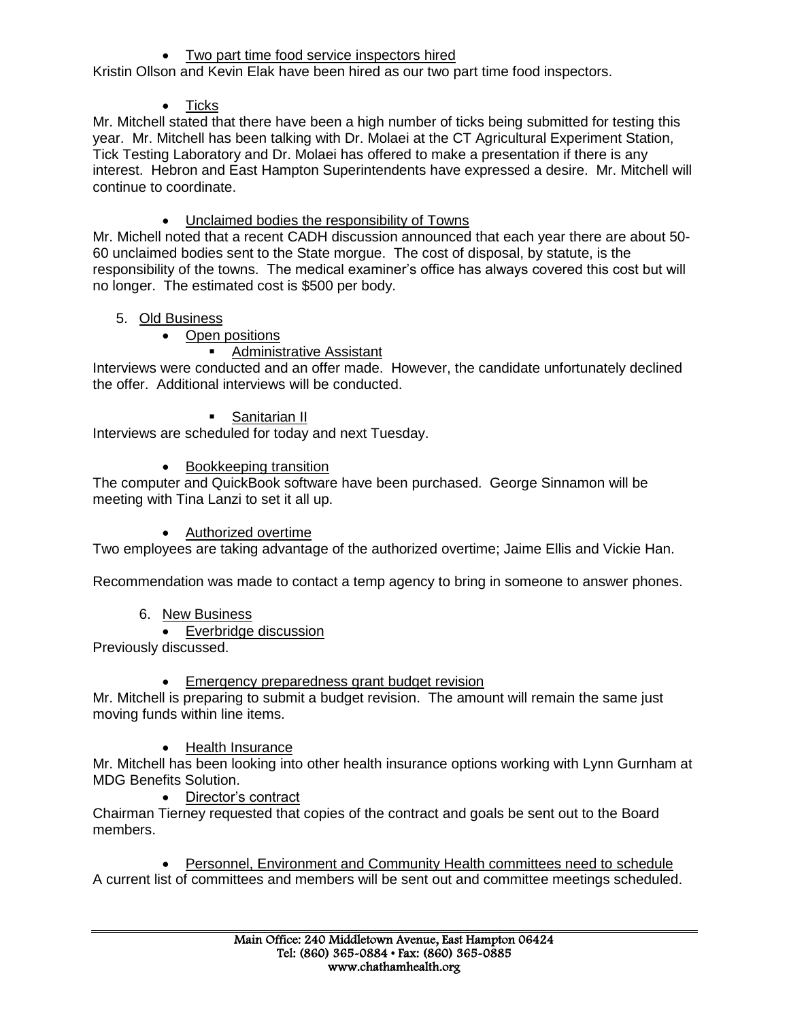• Two part time food service inspectors hired

Kristin Ollson and Kevin Elak have been hired as our two part time food inspectors.

 $\bullet$  Ticks

Mr. Mitchell stated that there have been a high number of ticks being submitted for testing this year. Mr. Mitchell has been talking with Dr. Molaei at the CT Agricultural Experiment Station, Tick Testing Laboratory and Dr. Molaei has offered to make a presentation if there is any interest. Hebron and East Hampton Superintendents have expressed a desire. Mr. Mitchell will continue to coordinate.

Unclaimed bodies the responsibility of Towns

Mr. Michell noted that a recent CADH discussion announced that each year there are about 50- 60 unclaimed bodies sent to the State morgue. The cost of disposal, by statute, is the responsibility of the towns. The medical examiner's office has always covered this cost but will no longer. The estimated cost is \$500 per body.

- 5. Old Business
	- Open positions

# **Administrative Assistant**

Interviews were conducted and an offer made. However, the candidate unfortunately declined the offer. Additional interviews will be conducted.

**Sanitarian II** 

Interviews are scheduled for today and next Tuesday.

• Bookkeeping transition

The computer and QuickBook software have been purchased. George Sinnamon will be meeting with Tina Lanzi to set it all up.

# • Authorized overtime

Two employees are taking advantage of the authorized overtime; Jaime Ellis and Vickie Han.

Recommendation was made to contact a temp agency to bring in someone to answer phones.

- 6. New Business
	- Everbridge discussion

Previously discussed.

**Emergency preparedness grant budget revision** 

Mr. Mitchell is preparing to submit a budget revision. The amount will remain the same just moving funds within line items.

• Health Insurance

Mr. Mitchell has been looking into other health insurance options working with Lynn Gurnham at MDG Benefits Solution.

• Director's contract

Chairman Tierney requested that copies of the contract and goals be sent out to the Board members.

 Personnel, Environment and Community Health committees need to schedule A current list of committees and members will be sent out and committee meetings scheduled.